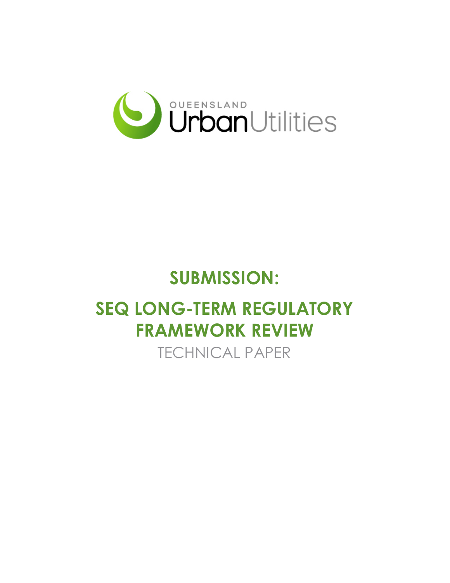

## **SUBMISSION:**

# **SEQ LONG-TERM REGULATORY FRAMEWORK REVIEW**

TECHNICAL PAPER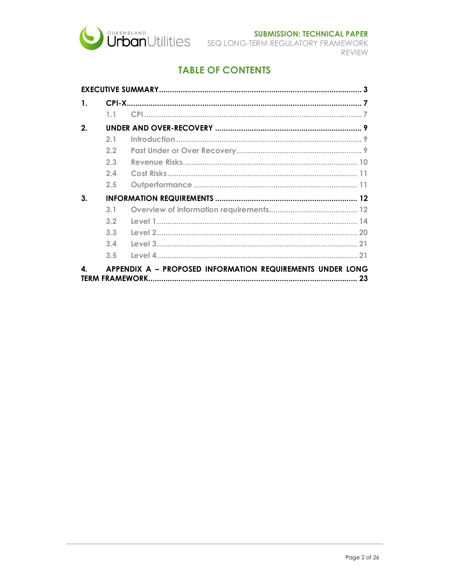

REVIEW

## **TABLE OF CONTENTS**

| 1. |                |                                                           |  |  |  |
|----|----------------|-----------------------------------------------------------|--|--|--|
|    | 1 <sub>1</sub> |                                                           |  |  |  |
| 2. |                |                                                           |  |  |  |
|    | 2.1            |                                                           |  |  |  |
|    | 2.2            |                                                           |  |  |  |
|    | 2.3            |                                                           |  |  |  |
|    | 2.4            |                                                           |  |  |  |
|    | 2.5            |                                                           |  |  |  |
| 3. |                |                                                           |  |  |  |
|    | 3.1            |                                                           |  |  |  |
|    | 3.2            |                                                           |  |  |  |
|    | 3.3            |                                                           |  |  |  |
|    | 3.4            |                                                           |  |  |  |
|    | 3.5            |                                                           |  |  |  |
| 4  |                | APPENDIX A - PROPOSED INFORMATION REQUIREMENTS UNDER LONG |  |  |  |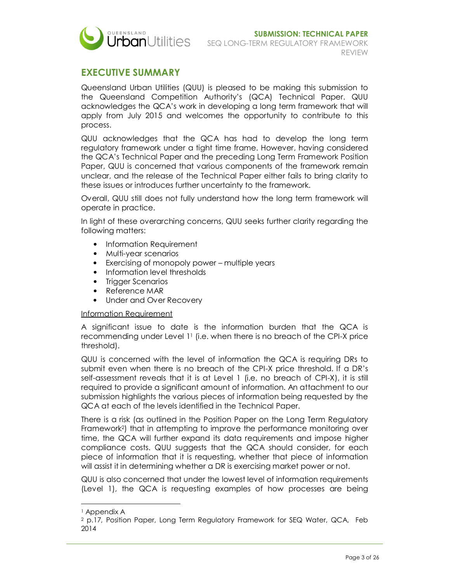

### **EXECUTIVE SUMMARY**

Queensland Urban Utilities (QUU) is pleased to be making this submission to the Queensland Competition Authority's (QCA) Technical Paper. QUU acknowledges the QCA's work in developing a long term framework that will apply from July 2015 and welcomes the opportunity to contribute to this process.

QUU acknowledges that the QCA has had to develop the long term regulatory framework under a tight time frame. However, having considered the QCA's Technical Paper and the preceding Long Term Framework Position Paper, QUU is concerned that various components of the framework remain unclear, and the release of the Technical Paper either fails to bring clarity to these issues or introduces further uncertainty to the framework.

Overall, QUU still does not fully understand how the long term framework will operate in practice.

In light of these overarching concerns, QUU seeks further clarity regarding the following matters:

- Information Requirement
- Multi-year scenarios
- Exercising of monopoly power multiple years
- Information level thresholds
- Trigger Scenarios
- Reference MAR
- Under and Over Recovery

#### Information Requirement

A significant issue to date is the information burden that the QCA is recommending under Level 1<sup>1</sup> (i.e. when there is no breach of the CPI-X price threshold).

QUU is concerned with the level of information the QCA is requiring DRs to submit even when there is no breach of the CPI-X price threshold. If a DR's self-assessment reveals that it is at Level 1 (i.e. no breach of CPI-X), it is still required to provide a significant amount of information. An attachment to our submission highlights the various pieces of information being requested by the QCA at each of the levels identified in the Technical Paper.

There is a risk (as outlined in the Position Paper on the Long Term Regulatory Framework<sup>2</sup> ) that in attempting to improve the performance monitoring over time, the QCA will further expand its data requirements and impose higher compliance costs. QUU suggests that the QCA should consider, for each piece of information that it is requesting, whether that piece of information will assist it in determining whether a DR is exercising market power or not.

QUU is also concerned that under the lowest level of information requirements (Level 1), the QCA is requesting examples of how processes are being

<sup>1</sup> Appendix A

<sup>2</sup> p.17, Position Paper, Long Term Regulatory Framework for SEQ Water, QCA, Feb 2014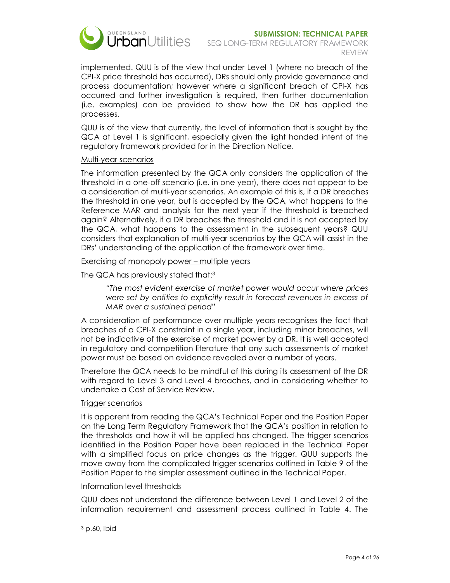

implemented. QUU is of the view that under Level 1 (where no breach of the CPI-X price threshold has occurred), DRs should only provide governance and process documentation; however where a significant breach of CPI-X has occurred and further investigation is required, then further documentation (i.e. examples) can be provided to show how the DR has applied the processes.

QUU is of the view that currently, the level of information that is sought by the QCA at Level 1 is significant, especially given the light handed intent of the regulatory framework provided for in the Direction Notice.

#### Multi-year scenarios

The information presented by the QCA only considers the application of the threshold in a one-off scenario (i.e. in one year), there does not appear to be a consideration of multi-year scenarios. An example of this is, if a DR breaches the threshold in one year, but is accepted by the QCA, what happens to the Reference MAR and analysis for the next year if the threshold is breached again? Alternatively, if a DR breaches the threshold and it is not accepted by the QCA, what happens to the assessment in the subsequent years? QUU considers that explanation of multi-year scenarios by the QCA will assist in the DRs' understanding of the application of the framework over time.

Exercising of monopoly power – multiple years

The QCA has previously stated that:<sup>3</sup>

*"The most evident exercise of market power would occur where prices were set by entities to explicitly result in forecast revenues in excess of MAR over a sustained period"* 

A consideration of performance over multiple years recognises the fact that breaches of a CPI-X constraint in a single year, including minor breaches, will not be indicative of the exercise of market power by a DR. It is well accepted in regulatory and competition literature that any such assessments of market power must be based on evidence revealed over a number of years.

Therefore the QCA needs to be mindful of this during its assessment of the DR with regard to Level 3 and Level 4 breaches, and in considering whether to undertake a Cost of Service Review.

#### Trigger scenarios

It is apparent from reading the QCA's Technical Paper and the Position Paper on the Long Term Regulatory Framework that the QCA's position in relation to the thresholds and how it will be applied has changed. The trigger scenarios identified in the Position Paper have been replaced in the Technical Paper with a simplified focus on price changes as the trigger. QUU supports the move away from the complicated trigger scenarios outlined in Table 9 of the Position Paper to the simpler assessment outlined in the Technical Paper.

#### Information level thresholds

QUU does not understand the difference between Level 1 and Level 2 of the information requirement and assessment process outlined in Table 4. The

 $\overline{a}$ 3 p.60, Ibid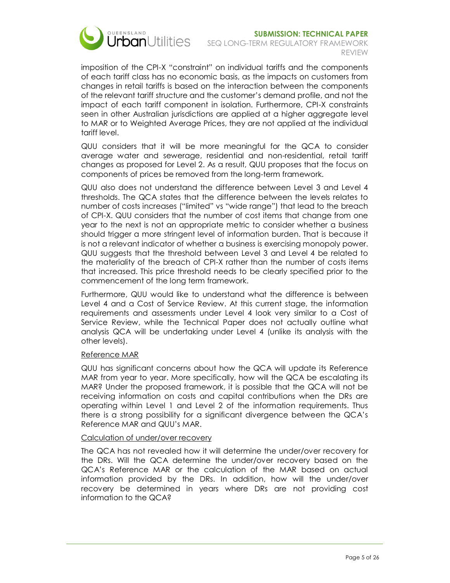

#### **SUBMISSION: TECHNICAL PAPER**  SEQ LONG-TERM REGULATORY FRAMEWORK REVIEW

imposition of the CPI-X "constraint" on individual tariffs and the components of each tariff class has no economic basis, as the impacts on customers from changes in retail tariffs is based on the interaction between the components of the relevant tariff structure and the customer's demand profile, and not the impact of each tariff component in isolation. Furthermore, CPI-X constraints seen in other Australian jurisdictions are applied at a higher aggregate level to MAR or to Weighted Average Prices, they are not applied at the individual tariff level.

QUU considers that it will be more meaningful for the QCA to consider average water and sewerage, residential and non-residential, retail tariff changes as proposed for Level 2. As a result, QUU proposes that the focus on components of prices be removed from the long-term framework.

QUU also does not understand the difference between Level 3 and Level 4 thresholds. The QCA states that the difference between the levels relates to number of costs increases ("limited" vs "wide range") that lead to the breach of CPI-X. QUU considers that the number of cost items that change from one year to the next is not an appropriate metric to consider whether a business should trigger a more stringent level of information burden. That is because it is not a relevant indicator of whether a business is exercising monopoly power. QUU suggests that the threshold between Level 3 and Level 4 be related to the materiality of the breach of CPI-X rather than the number of costs items that increased. This price threshold needs to be clearly specified prior to the commencement of the long term framework.

Furthermore, QUU would like to understand what the difference is between Level 4 and a Cost of Service Review. At this current stage, the information requirements and assessments under Level 4 look very similar to a Cost of Service Review, while the Technical Paper does not actually outline what analysis QCA will be undertaking under Level 4 (unlike its analysis with the other levels).

#### Reference MAR

QUU has significant concerns about how the QCA will update its Reference MAR from year to year. More specifically, how will the QCA be escalating its MAR? Under the proposed framework, it is possible that the QCA will not be receiving information on costs and capital contributions when the DRs are operating within Level 1 and Level 2 of the information requirements. Thus there is a strong possibility for a significant divergence between the QCA's Reference MAR and QUU's MAR.

#### Calculation of under/over recovery

The QCA has not revealed how it will determine the under/over recovery for the DRs. Will the QCA determine the under/over recovery based on the QCA's Reference MAR or the calculation of the MAR based on actual information provided by the DRs. In addition, how will the under/over recovery be determined in years where DRs are not providing cost information to the QCA?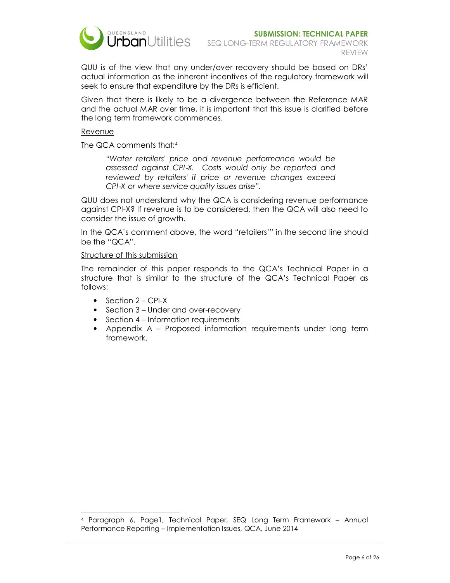

QUU is of the view that any under/over recovery should be based on DRs' actual information as the inherent incentives of the regulatory framework will seek to ensure that expenditure by the DRs is efficient.

Given that there is likely to be a divergence between the Reference MAR and the actual MAR over time, it is important that this issue is clarified before the long term framework commences.

#### Revenue

 $\overline{a}$ 

The QCA comments that:<sup>4</sup>

*"Water retailers' price and revenue performance would be assessed against CPI*‐*X. Costs would only be reported and reviewed by retailers' if price or revenue changes exceed CPI*‐*X or where service quality issues arise".* 

QUU does not understand why the QCA is considering revenue performance against CPI-X? If revenue is to be considered, then the QCA will also need to consider the issue of growth.

In the QCA's comment above, the word "retailers'" in the second line should be the "QCA".

#### Structure of this submission

The remainder of this paper responds to the QCA's Technical Paper in a structure that is similar to the structure of the QCA's Technical Paper as follows:

- Section 2 CPI-X
- Section 3 Under and over-recovery
- Section 4 Information requirements
- Appendix A Proposed information requirements under long term framework.

<sup>4</sup> Paragraph 6, Page1, Technical Paper, SEQ Long Term Framework – Annual Performance Reporting – Implementation Issues, QCA, June 2014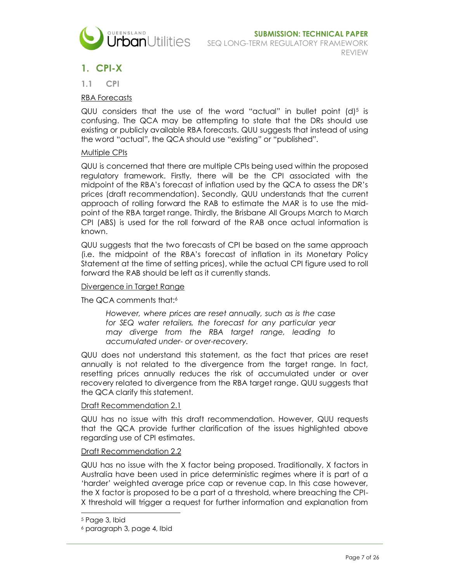

## **1. CPI-X**

**1.1 CPI** 

#### RBA Forecasts

QUU considers that the use of the word "actual" in bullet point  $(d)^5$  is confusing. The QCA may be attempting to state that the DRs should use existing or publicly available RBA forecasts. QUU suggests that instead of using the word "actual", the QCA should use "existing" or "published".

#### **Multiple CPIs**

QUU is concerned that there are multiple CPIs being used within the proposed regulatory framework. Firstly, there will be the CPI associated with the midpoint of the RBA's forecast of inflation used by the QCA to assess the DR's prices (draft recommendation). Secondly, QUU understands that the current approach of rolling forward the RAB to estimate the MAR is to use the midpoint of the RBA target range. Thirdly, the Brisbane All Groups March to March CPI (ABS) is used for the roll forward of the RAB once actual information is known.

QUU suggests that the two forecasts of CPI be based on the same approach (i.e. the midpoint of the RBA's forecast of inflation in its Monetary Policy Statement at the time of setting prices), while the actual CPI figure used to roll forward the RAB should be left as it currently stands.

#### Divergence in Target Range

The QCA comments that:<sup>6</sup>

*However, where prices are reset annually, such as is the case for SEQ water retailers, the forecast for any particular year may diverge from the RBA target range, leading to accumulated under- or over-recovery.* 

QUU does not understand this statement, as the fact that prices are reset annually is not related to the divergence from the target range. In fact, resetting prices annually reduces the risk of accumulated under or over recovery related to divergence from the RBA target range. QUU suggests that the QCA clarify this statement.

#### Draft Recommendation 2.1

QUU has no issue with this draft recommendation. However, QUU requests that the QCA provide further clarification of the issues highlighted above regarding use of CPI estimates.

#### Draft Recommendation 2.2

QUU has no issue with the X factor being proposed. Traditionally, X factors in Australia have been used in price deterministic regimes where it is part of a 'harder' weighted average price cap or revenue cap. In this case however, the X factor is proposed to be a part of a threshold, where breaching the CPI-X threshold will trigger a request for further information and explanation from

<sup>5</sup> Page 3, Ibid

<sup>6</sup> paragraph 3, page 4, Ibid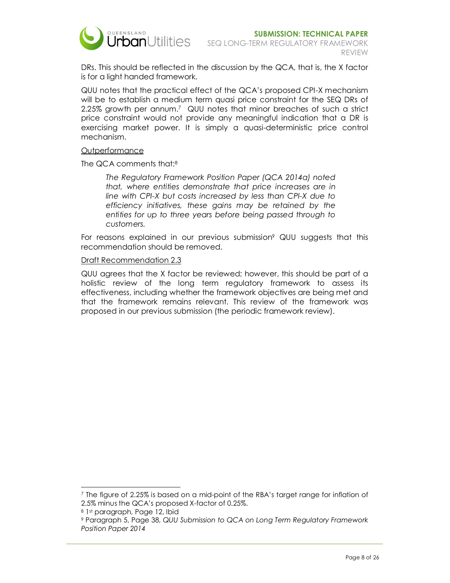

DRs. This should be reflected in the discussion by the QCA, that is, the X factor is for a light handed framework.

QUU notes that the practical effect of the QCA's proposed CPI-X mechanism will be to establish a medium term quasi price constraint for the SEQ DRs of 2.25% growth per annum.<sup>7</sup> QUU notes that minor breaches of such a strict price constraint would not provide any meaningful indication that a DR is exercising market power. It is simply a quasi-deterministic price control mechanism.

#### **Outperformance**

The QCA comments that:<sup>8</sup>

*The Regulatory Framework Position Paper (QCA 2014a) noted that, where entities demonstrate that price increases are in line with CPI-X but costs increased by less than CPI-X due to efficiency initiatives, these gains may be retained by the entities for up to three years before being passed through to customers.* 

For reasons explained in our previous submission<sup>9</sup> QUU suggests that this recommendation should be removed.

#### Draft Recommendation 2.3

QUU agrees that the X factor be reviewed; however, this should be part of a holistic review of the long term regulatory framework to assess its effectiveness, including whether the framework objectives are being met and that the framework remains relevant. This review of the framework was proposed in our previous submission (the periodic framework review).

<sup>-</sup><sup>7</sup> The figure of 2.25% is based on a mid-point of the RBA's target range for inflation of 2.5% minus the QCA's proposed X-factor of 0.25%.

<sup>8</sup> 1st paragraph, Page 12, Ibid

<sup>9</sup> Paragraph 5, Page 38, *QUU Submission to QCA on Long Term Regulatory Framework Position Paper 2014*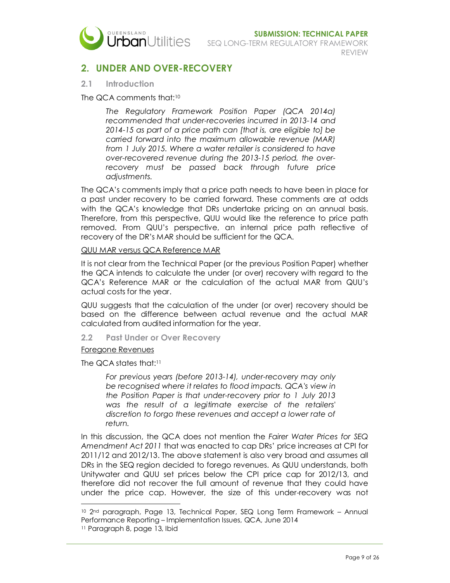

## **2. UNDER AND OVER-RECOVERY**

#### **2.1 Introduction**

#### The QCA comments that:<sup>10</sup>

*The Regulatory Framework Position Paper (QCA 2014a) recommended that under-recoveries incurred in 2013-14 and 2014-15 as part of a price path can [that is, are eligible to] be carried forward into the maximum allowable revenue (MAR) from 1 July 2015. Where a water retailer is considered to have over-recovered revenue during the 2013-15 period, the overrecovery must be passed back through future price adjustments.* 

The QCA's comments imply that a price path needs to have been in place for a past under recovery to be carried forward. These comments are at odds with the QCA's knowledge that DRs undertake pricing on an annual basis. Therefore, from this perspective, QUU would like the reference to price path removed. From QUU's perspective, an internal price path reflective of recovery of the DR's MAR should be sufficient for the QCA.

#### QUU MAR versus QCA Reference MAR

It is not clear from the Technical Paper (or the previous Position Paper) whether the QCA intends to calculate the under (or over) recovery with regard to the QCA's Reference MAR or the calculation of the actual MAR from QUU's actual costs for the year.

QUU suggests that the calculation of the under (or over) recovery should be based on the difference between actual revenue and the actual MAR calculated from audited information for the year.

#### **2.2 Past Under or Over Recovery**

#### Foregone Revenues

The QCA states that:<sup>11</sup>

*For previous years (before 2013-14), under-recovery may only be recognised where it relates to flood impacts. QCA's view in the Position Paper is that under-recovery prior to 1 July 2013 was the result of a legitimate exercise of the retailers' discretion to forgo these revenues and accept a lower rate of return.* 

In this discussion, the QCA does not mention the *Fairer Water Prices for SEQ Amendment Act 2011* that was enacted to cap DRs' price increases at CPI for 2011/12 and 2012/13. The above statement is also very broad and assumes all DRs in the SEQ region decided to forego revenues. As QUU understands, both Unitywater and QUU set prices below the CPI price cap for 2012/13, and therefore did not recover the full amount of revenue that they could have under the price cap. However, the size of this under-recovery was not

<sup>10</sup> 2nd paragraph, Page 13, Technical Paper, SEQ Long Term Framework – Annual Performance Reporting – Implementation Issues, QCA, June 2014

<sup>11</sup> Paragraph 8, page 13, Ibid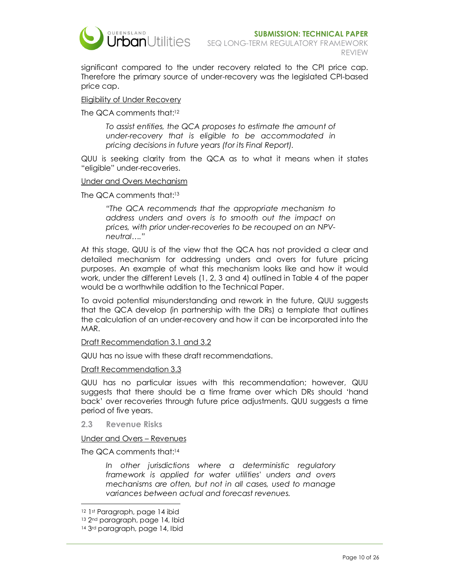

significant compared to the under recovery related to the CPI price cap. Therefore the primary source of under-recovery was the legislated CPI-based price cap.

#### Eligibility of Under Recovery

The QCA comments that:<sup>12</sup>

*To assist entities, the QCA proposes to estimate the amount of under-recovery that is eligible to be accommodated in pricing decisions in future years (for its Final Report).* 

QUU is seeking clarity from the QCA as to what it means when it states "eligible" under-recoveries.

#### Under and Overs Mechanism

The QCA comments that:<sup>13</sup>

*"The QCA recommends that the appropriate mechanism to address unders and overs is to smooth out the impact on prices, with prior under-recoveries to be recouped on an NPVneutral…."* 

At this stage, QUU is of the view that the QCA has not provided a clear and detailed mechanism for addressing unders and overs for future pricing purposes. An example of what this mechanism looks like and how it would work, under the different Levels (1, 2, 3 and 4) outlined in Table 4 of the paper would be a worthwhile addition to the Technical Paper.

To avoid potential misunderstanding and rework in the future, QUU suggests that the QCA develop (in partnership with the DRs) a template that outlines the calculation of an under-recovery and how it can be incorporated into the MAR.

#### Draft Recommendation 3.1 and 3.2

QUU has no issue with these draft recommendations.

#### Draft Recommendation 3.3

QUU has no particular issues with this recommendation; however, QUU suggests that there should be a time frame over which DRs should 'hand back' over recoveries through future price adjustments. QUU suggests a time period of five years.

#### **2.3 Revenue Risks**

#### Under and Overs – Revenues

The QCA comments that:<sup>14</sup>

*In other jurisdictions where a deterministic regulatory framework is applied for water utilities' unders and overs mechanisms are often, but not in all cases, used to manage variances between actual and forecast revenues.* 

<sup>12</sup> 1st Paragraph, page 14 ibid

<sup>13 2&</sup>lt;sup>nd</sup> paragraph, page 14, Ibid

<sup>14 3</sup>rd paragraph, page 14, Ibid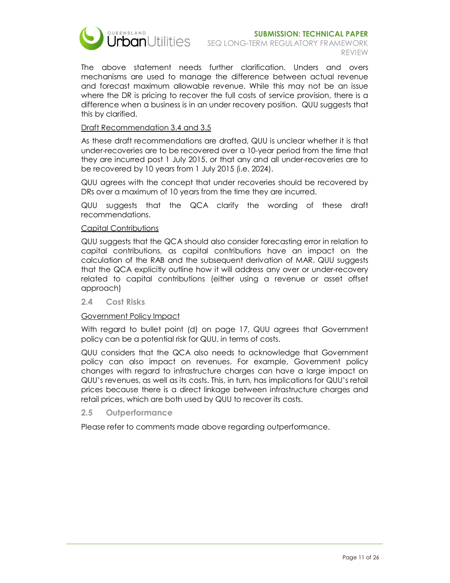

The above statement needs further clarification. Unders and overs mechanisms are used to manage the difference between actual revenue and forecast maximum allowable revenue. While this may not be an issue where the DR is pricing to recover the full costs of service provision, there is a difference when a business is in an under recovery position. QUU suggests that this by clarified.

#### Draft Recommendation 3.4 and 3.5

As these draft recommendations are drafted, QUU is unclear whether it is that under-recoveries are to be recovered over a 10-year period from the time that they are incurred post 1 July 2015, or that any and all under-recoveries are to be recovered by 10 years from 1 July 2015 (i.e. 2024).

QUU agrees with the concept that under recoveries should be recovered by DRs over a maximum of 10 years from the time they are incurred.

QUU suggests that the QCA clarify the wording of these draft recommendations.

#### Capital Contributions

QUU suggests that the QCA should also consider forecasting error in relation to capital contributions, as capital contributions have an impact on the calculation of the RAB and the subsequent derivation of MAR. QUU suggests that the QCA explicitly outline how it will address any over or under-recovery related to capital contributions (either using a revenue or asset offset approach)

#### **2.4 Cost Risks**

#### Government Policy Impact

With regard to bullet point (d) on page 17, QUU agrees that Government policy can be a potential risk for QUU, in terms of costs.

QUU considers that the QCA also needs to acknowledge that Government policy can also impact on revenues. For example, Government policy changes with regard to infrastructure charges can have a large impact on QUU's revenues, as well as its costs. This, in turn, has implications for QUU's retail prices because there is a direct linkage between infrastructure charges and retail prices, which are both used by QUU to recover its costs.

#### **2.5 Outperformance**

Please refer to comments made above regarding outperformance.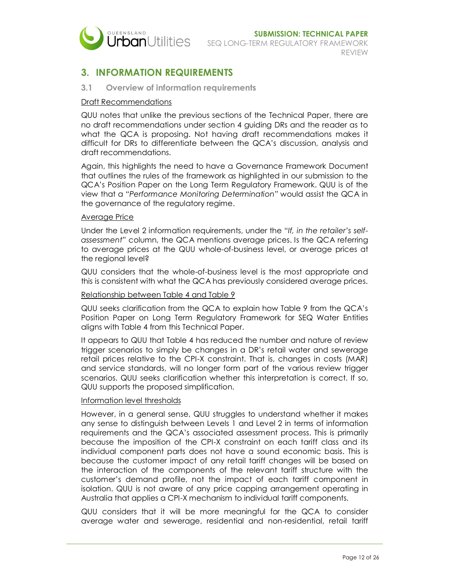

## **3. INFORMATION REQUIREMENTS**

#### **3.1 Overview of information requirements**

#### Draft Recommendations

QUU notes that unlike the previous sections of the Technical Paper, there are no draft recommendations under section 4 guiding DRs and the reader as to what the QCA is proposing. Not having draft recommendations makes it difficult for DRs to differentiate between the QCA's discussion, analysis and draft recommendations.

Again, this highlights the need to have a Governance Framework Document that outlines the rules of the framework as highlighted in our submission to the QCA's Position Paper on the Long Term Regulatory Framework. QUU is of the view that a *"Performance Monitoring Determination"* would assist the QCA in the governance of the regulatory regime.

#### Average Price

Under the Level 2 information requirements, under the *"If, in the retailer's selfassessment"* column, the QCA mentions average prices. Is the QCA referring to average prices at the QUU whole-of-business level, or average prices at the regional level?

QUU considers that the whole-of-business level is the most appropriate and this is consistent with what the QCA has previously considered average prices.

#### Relationship between Table 4 and Table 9

QUU seeks clarification from the QCA to explain how Table 9 from the QCA's Position Paper on Long Term Regulatory Framework for SEQ Water Entities aligns with Table 4 from this Technical Paper.

It appears to QUU that Table 4 has reduced the number and nature of review trigger scenarios to simply be changes in a DR's retail water and sewerage retail prices relative to the CPI-X constraint. That is, changes in costs (MAR) and service standards, will no longer form part of the various review trigger scenarios. QUU seeks clarification whether this interpretation is correct. If so, QUU supports the proposed simplification.

#### Information level thresholds

However, in a general sense, QUU struggles to understand whether it makes any sense to distinguish between Levels 1 and Level 2 in terms of information requirements and the QCA's associated assessment process. This is primarily because the imposition of the CPI-X constraint on each tariff class and its individual component parts does not have a sound economic basis. This is because the customer impact of any retail tariff changes will be based on the interaction of the components of the relevant tariff structure with the customer's demand profile, not the impact of each tariff component in isolation. QUU is not aware of any price capping arrangement operating in Australia that applies a CPI-X mechanism to individual tariff components.

QUU considers that it will be more meaningful for the QCA to consider average water and sewerage, residential and non-residential, retail tariff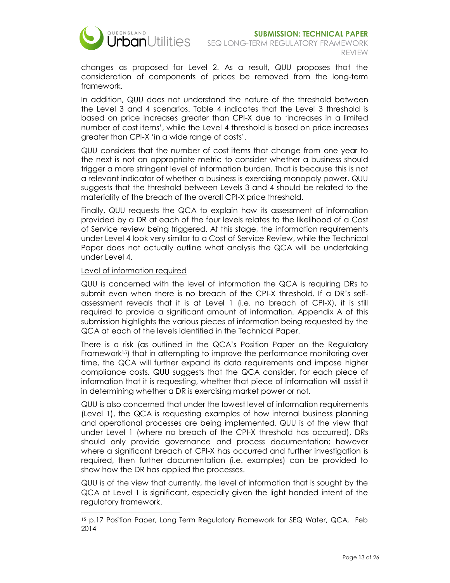

changes as proposed for Level 2. As a result, QUU proposes that the consideration of components of prices be removed from the long-term framework.

In addition, QUU does not understand the nature of the threshold between the Level 3 and 4 scenarios. Table 4 indicates that the Level 3 threshold is based on price increases greater than CPI-X due to 'increases in a limited number of cost items', while the Level 4 threshold is based on price increases greater than CPI-X 'in a wide range of costs'.

QUU considers that the number of cost items that change from one year to the next is not an appropriate metric to consider whether a business should trigger a more stringent level of information burden. That is because this is not a relevant indicator of whether a business is exercising monopoly power. QUU suggests that the threshold between Levels 3 and 4 should be related to the materiality of the breach of the overall CPI-X price threshold.

Finally, QUU requests the QCA to explain how its assessment of information provided by a DR at each of the four levels relates to the likelihood of a Cost of Service review being triggered. At this stage, the information requirements under Level 4 look very similar to a Cost of Service Review, while the Technical Paper does not actually outline what analysis the QCA will be undertaking under Level 4.

#### Level of information required

 $\overline{a}$ 

QUU is concerned with the level of information the QCA is requiring DRs to submit even when there is no breach of the CPI-X threshold. If a DR's selfassessment reveals that it is at Level 1 (i.e. no breach of CPI-X), it is still required to provide a significant amount of information. Appendix A of this submission highlights the various pieces of information being requested by the QCA at each of the levels identified in the Technical Paper.

There is a risk (as outlined in the QCA's Position Paper on the Regulatory Framework<sup>15</sup>) that in attempting to improve the performance monitoring over time, the QCA will further expand its data requirements and impose higher compliance costs. QUU suggests that the QCA consider, for each piece of information that it is requesting, whether that piece of information will assist it in determining whether a DR is exercising market power or not.

QUU is also concerned that under the lowest level of information requirements (Level 1), the QCA is requesting examples of how internal business planning and operational processes are being implemented. QUU is of the view that under Level 1 (where no breach of the CPI-X threshold has occurred), DRs should only provide governance and process documentation; however where a significant breach of CPI-X has occurred and further investigation is required, then further documentation (i.e. examples) can be provided to show how the DR has applied the processes.

QUU is of the view that currently, the level of information that is sought by the QCA at Level 1 is significant, especially given the light handed intent of the regulatory framework.

<sup>15</sup> p.17 Position Paper, Long Term Regulatory Framework for SEQ Water, QCA, Feb 2014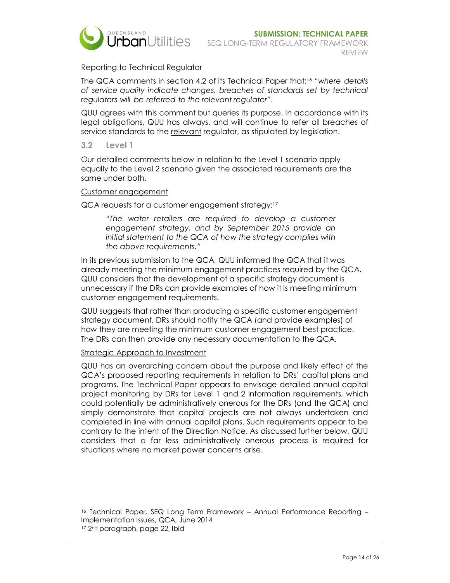

#### Reporting to Technical Regulator

The QCA comments in section 4.2 of its Technical Paper that:16 "*where details of service quality indicate changes, breaches of standards set by technical regulators will be referred to the relevant regulator"*.

QUU agrees with this comment but queries its purpose. In accordance with its legal obligations, QUU has always, and will continue to refer all breaches of service standards to the relevant regulator, as stipulated by legislation.

#### **3.2 Level 1**

Our detailed comments below in relation to the Level 1 scenario apply equally to the Level 2 scenario given the associated requirements are the same under both.

#### Customer engagement

QCA requests for a customer engagement strategy:<sup>17</sup>

*"The water retailers are required to develop a customer engagement strategy, and by September 2015 provide an initial statement to the QCA of how the strategy complies with the above requirements."* 

In its previous submission to the QCA, QUU informed the QCA that it was already meeting the minimum engagement practices required by the QCA. QUU considers that the development of a specific strategy document is unnecessary if the DRs can provide examples of how it is meeting minimum customer engagement requirements.

QUU suggests that rather than producing a specific customer engagement strategy document, DRs should notify the QCA (and provide examples) of how they are meeting the minimum customer engagement best practice. The DRs can then provide any necessary documentation to the QCA.

#### Strategic Approach to Investment

QUU has an overarching concern about the purpose and likely effect of the QCA's proposed reporting requirements in relation to DRs' capital plans and programs. The Technical Paper appears to envisage detailed annual capital project monitoring by DRs for Level 1 and 2 information requirements, which could potentially be administratively onerous for the DRs (and the QCA) and simply demonstrate that capital projects are not always undertaken and completed in line with annual capital plans. Such requirements appear to be contrary to the intent of the Direction Notice. As discussed further below, QUU considers that a far less administratively onerous process is required for situations where no market power concerns arise.

<sup>16</sup> Technical Paper, SEQ Long Term Framework – Annual Performance Reporting – Implementation Issues, QCA, June 2014

<sup>17 2</sup>nd paragraph, page 22, Ibid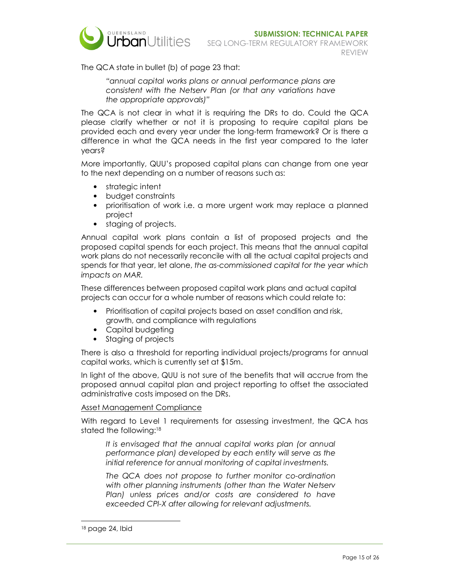

The QCA state in bullet (b) of page 23 that:

*"annual capital works plans or annual performance plans are consistent with the Netserv Plan (or that any variations have the appropriate approvals)"* 

The QCA is not clear in what it is requiring the DRs to do. Could the QCA please clarify whether or not it is proposing to require capital plans be provided each and every year under the long-term framework? Or is there a difference in what the QCA needs in the first year compared to the later years?

More importantly, QUU's proposed capital plans can change from one year to the next depending on a number of reasons such as:

- strategic intent
- budget constraints
- prioritisation of work i.e. a more urgent work may replace a planned project
- staging of projects.

Annual capital work plans contain a list of proposed projects and the proposed capital spends for each project. This means that the annual capital work plans do not necessarily reconcile with all the actual capital projects and spends for that year, let alone, *the as-commissioned capital for the year which impacts on MAR.* 

These differences between proposed capital work plans and actual capital projects can occur for a whole number of reasons which could relate to:

- Prioritisation of capital projects based on asset condition and risk, growth, and compliance with regulations
- Capital budgeting
- Staging of projects

There is also a threshold for reporting individual projects/programs for annual capital works, which is currently set at \$15m.

In light of the above, QUU is not sure of the benefits that will accrue from the proposed annual capital plan and project reporting to offset the associated administrative costs imposed on the DRs.

#### Asset Management Compliance

With regard to Level 1 requirements for assessing investment, the QCA has stated the following:<sup>18</sup>

*It is envisaged that the annual capital works plan (or annual performance plan) developed by each entity will serve as the initial reference for annual monitoring of capital investments.* 

*The QCA does not propose to further monitor co-ordination with other planning instruments (other than the Water Netserv Plan) unless prices and/or costs are considered to have exceeded CPI-X after allowing for relevant adjustments.* 

<sup>18</sup> page 24, Ibid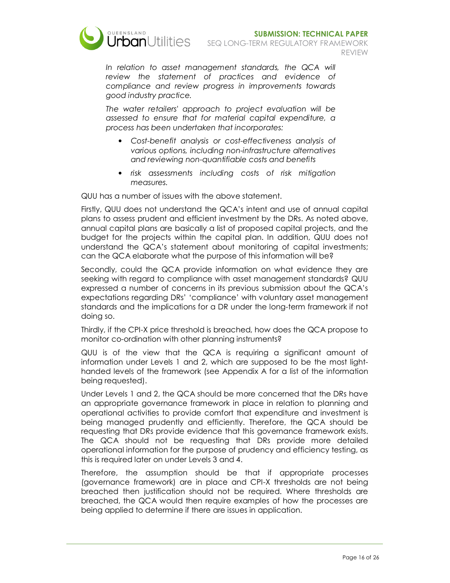

In relation to asset management standards, the QCA will *review the statement of practices and evidence of compliance and review progress in improvements towards good industry practice.* 

*The water retailers' approach to project evaluation will be assessed to ensure that for material capital expenditure, a process has been undertaken that incorporates:* 

- *Cost-benefit analysis or cost-effectiveness analysis of various options, including non-infrastructure alternatives and reviewing non-quantifiable costs and benefits*
- *risk assessments including costs of risk mitigation measures.*

QUU has a number of issues with the above statement.

Firstly, QUU does not understand the QCA's intent and use of annual capital plans to assess prudent and efficient investment by the DRs. As noted above, annual capital plans are basically a list of proposed capital projects, and the budget for the projects within the capital plan. In addition, QUU does not understand the QCA's statement about monitoring of capital investments; can the QCA elaborate what the purpose of this information will be?

Secondly, could the QCA provide information on what evidence they are seeking with regard to compliance with asset management standards? QUU expressed a number of concerns in its previous submission about the QCA's expectations regarding DRs' 'compliance' with voluntary asset management standards and the implications for a DR under the long-term framework if not doing so.

Thirdly, if the CPI-X price threshold is breached, how does the QCA propose to monitor co-ordination with other planning instruments?

QUU is of the view that the QCA is requiring a significant amount of information under Levels 1 and 2, which are supposed to be the most lighthanded levels of the framework (see Appendix A for a list of the information being requested).

Under Levels 1 and 2, the QCA should be more concerned that the DRs have an appropriate governance framework in place in relation to planning and operational activities to provide comfort that expenditure and investment is being managed prudently and efficiently. Therefore, the QCA should be requesting that DRs provide evidence that this governance framework exists. The QCA should not be requesting that DRs provide more detailed operational information for the purpose of prudency and efficiency testing, as this is required later on under Levels 3 and 4.

Therefore, the assumption should be that if appropriate processes (governance framework) are in place and CPI-X thresholds are not being breached then justification should not be required. Where thresholds are breached, the QCA would then require examples of how the processes are being applied to determine if there are issues in application.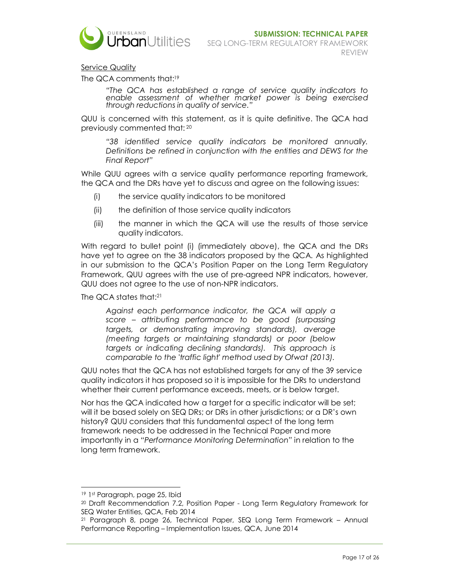

Service Quality

The QCA comments that:<sup>19</sup>

*"The QCA has established a range of service quality indicators to enable assessment of whether market power is being exercised through reductions in quality of service."* 

QUU is concerned with this statement, as it is quite definitive. The QCA had previously commented that:<sup>20</sup>

*"38 identified service quality indicators be monitored annually. Definitions be refined in conjunction with the entities and DEWS for the Final Report"* 

While QUU agrees with a service quality performance reporting framework, the QCA and the DRs have yet to discuss and agree on the following issues:

- (i) the service quality indicators to be monitored
- (ii) the definition of those service quality indicators
- (iii) the manner in which the QCA will use the results of those service quality indicators.

With regard to bullet point (i) (immediately above), the QCA and the DRs have yet to agree on the 38 indicators proposed by the QCA. As highlighted in our submission to the QCA's Position Paper on the Long Term Regulatory Framework, QUU agrees with the use of pre-agreed NPR indicators, however, QUU does not agree to the use of non-NPR indicators.

The QCA states that: $21$ 

*Against each performance indicator, the QCA will apply a score – attributing performance to be good (surpassing targets, or demonstrating improving standards), average (meeting targets or maintaining standards) or poor (below targets or indicating declining standards). This approach is comparable to the 'traffic light' method used by Ofwat (2013).* 

QUU notes that the QCA has not established targets for any of the 39 service quality indicators it has proposed so it is impossible for the DRs to understand whether their current performance exceeds, meets, or is below target.

Nor has the QCA indicated how a target for a specific indicator will be set; will it be based solely on SEQ DRs; or DRs in other jurisdictions; or a DR's own history? QUU considers that this fundamental aspect of the long term framework needs to be addressed in the Technical Paper and more importantly in a *"Performance Monitoring Determination"* in relation to the long term framework.

-

<sup>19</sup> 1st Paragraph, page 25, Ibid

<sup>20</sup> Draft Recommendation 7.2, Position Paper - Long Term Regulatory Framework for SEQ Water Entities, QCA, Feb 2014

<sup>21</sup> Paragraph 8, page 26, Technical Paper, SEQ Long Term Framework – Annual Performance Reporting – Implementation Issues, QCA, June 2014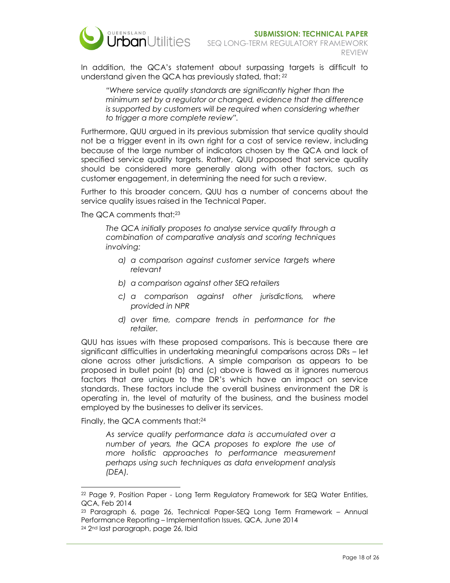

In addition, the QCA's statement about surpassing targets is difficult to understand given the QCA has previously stated, that:*<sup>22</sup>*

*"Where service quality standards are significantly higher than the minimum set by a regulator or changed, evidence that the difference is supported by customers will be required when considering whether to trigger a more complete review".*

Furthermore, QUU argued in its previous submission that service quality should not be a trigger event in its own right for a cost of service review, including because of the large number of indicators chosen by the QCA and lack of specified service quality targets. Rather, QUU proposed that service quality should be considered more generally along with other factors, such as customer engagement, in determining the need for such a review.

Further to this broader concern, QUU has a number of concerns about the service quality issues raised in the Technical Paper.

The QCA comments that:<sup>23</sup>

*The QCA initially proposes to analyse service quality through a combination of comparative analysis and scoring techniques involving:* 

- *a) a comparison against customer service targets where relevant*
- *b) a comparison against other SEQ retailers*
- *c) a comparison against other jurisdictions, where provided in NPR*
- *d) over time, compare trends in performance for the retailer.*

QUU has issues with these proposed comparisons. This is because there are significant difficulties in undertaking meaningful comparisons across DRs – let alone across other jurisdictions. A simple comparison as appears to be proposed in bullet point (b) and (c) above is flawed as it ignores numerous factors that are unique to the DR's which have an impact on service standards. These factors include the overall business environment the DR is operating in, the level of maturity of the business, and the business model employed by the businesses to deliver its services.

Finally, the QCA comments that:<sup>24</sup>

-

*As service quality performance data is accumulated over a number of years, the QCA proposes to explore the use of more holistic approaches to performance measurement perhaps using such techniques as data envelopment analysis (DEA).* 

<sup>22</sup> Page 9, Position Paper - Long Term Regulatory Framework for SEQ Water Entities, QCA, Feb 2014

<sup>23</sup> Paragraph 6, page 26, Technical Paper-SEQ Long Term Framework – Annual Performance Reporting – Implementation Issues, QCA, June 2014 24 2nd last paragraph, page 26, Ibid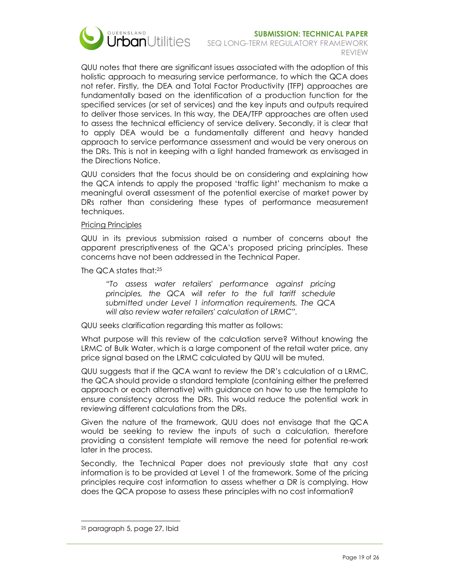

## **SUBMISSION: TECHNICAL PAPER**

SEQ LONG-TERM REGULATORY FRAMEWORK REVIEW

QUU notes that there are significant issues associated with the adoption of this holistic approach to measuring service performance, to which the QCA does not refer. Firstly, the DEA and Total Factor Productivity (TFP) approaches are fundamentally based on the identification of a production function for the specified services (or set of services) and the key inputs and outputs required to deliver those services. In this way, the DEA/TFP approaches are often used to assess the technical efficiency of service delivery. Secondly, it is clear that to apply DEA would be a fundamentally different and heavy handed approach to service performance assessment and would be very onerous on the DRs. This is not in keeping with a light handed framework as envisaged in the Directions Notice.

QUU considers that the focus should be on considering and explaining how the QCA intends to apply the proposed 'traffic light' mechanism to make a meaningful overall assessment of the potential exercise of market power by DRs rather than considering these types of performance measurement techniques.

#### Pricing Principles

QUU in its previous submission raised a number of concerns about the apparent prescriptiveness of the QCA's proposed pricing principles. These concerns have not been addressed in the Technical Paper.

The QCA states that:<sup>25</sup>

*"To assess water retailers' performance against pricing principles, the QCA will refer to the full tariff schedule submitted under Level 1 information requirements. The QCA will also review water retailers' calculation of LRMC".* 

QUU seeks clarification regarding this matter as follows:

What purpose will this review of the calculation serve? Without knowing the LRMC of Bulk Water, which is a large component of the retail water price, any price signal based on the LRMC calculated by QUU will be muted.

QUU suggests that if the QCA want to review the DR's calculation of a LRMC, the QCA should provide a standard template (containing either the preferred approach or each alternative) with guidance on how to use the template to ensure consistency across the DRs. This would reduce the potential work in reviewing different calculations from the DRs.

Given the nature of the framework, QUU does not envisage that the QCA would be seeking to review the inputs of such a calculation, therefore providing a consistent template will remove the need for potential re-work later in the process.

Secondly, the Technical Paper does not previously state that any cost information is to be provided at Level 1 of the framework. Some of the pricing principles require cost information to assess whether a DR is complying. How does the QCA propose to assess these principles with no cost information?

<sup>25</sup> paragraph 5, page 27, Ibid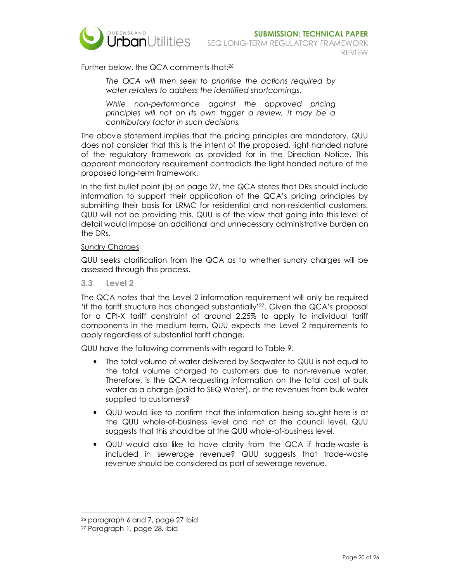

Further below, the QCA comments that:<sup>26</sup>

*The QCA will then seek to prioritise the actions required by water retailers to address the identified shortcomings.* 

*While non-performance against the approved pricing principles will not on its own trigger a review, it may be a contributory factor in such decisions.* 

The above statement implies that the pricing principles are mandatory. QUU does not consider that this is the intent of the proposed, light handed nature of the regulatory framework as provided for in the Direction Notice. This apparent mandatory requirement contradicts the light handed nature of the proposed long-term framework.

In the first bullet point (b) on page 27, the QCA states that DRs should include information to support their application of the QCA's pricing principles by submitting their basis for LRMC for residential and non-residential customers. QUU will not be providing this. QUU is of the view that going into this level of detail would impose an additional and unnecessary administrative burden on the DRs.

#### **Sundry Charges**

QUU seeks clarification from the QCA as to whether sundry charges will be assessed through this process.

**3.3 Level 2** 

The QCA notes that the Level 2 information requirement will only be required 'if the tariff structure has changed substantially'27. Given the QCA's proposal for a CPI-X tariff constraint of around 2.25% to apply to individual tariff components in the medium-term, QUU expects the Level 2 requirements to apply regardless of substantial tariff change.

QUU have the following comments with regard to Table 9.

- The total volume of water delivered by Seqwater to QUU is not equal to the total volume charged to customers due to non-revenue water. Therefore, is the QCA requesting information on the total cost of bulk water as a charge (paid to SEQ Water), or the revenues from bulk water supplied to customers?
- QUU would like to confirm that the information being sought here is at the QUU whole-of-business level and not at the council level. QUU suggests that this should be at the QUU whole-of-business level.
- QUU would also like to have clarity from the QCA if trade-waste is included in sewerage revenue? QUU suggests that trade-waste revenue should be considered as part of sewerage revenue.

<sup>26</sup> paragraph 6 and 7, page 27 Ibid

<sup>27</sup> Paragraph 1, page 28, Ibid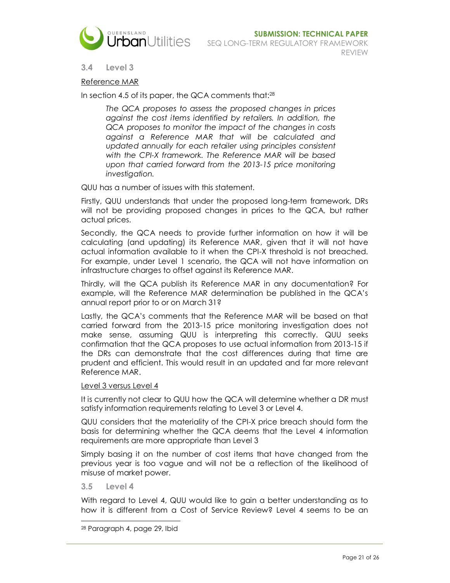

#### **3.4 Level 3**

#### Reference MAR

In section 4.5 of its paper, the QCA comments that:<sup>28</sup>

*The QCA proposes to assess the proposed changes in prices against the cost items identified by retailers. In addition, the QCA proposes to monitor the impact of the changes in costs against a Reference MAR that will be calculated and* updated annually for each retailer using principles consistent *with the CPI-X framework. The Reference MAR will be based upon that carried forward from the 2013-15 price monitoring investigation.* 

QUU has a number of issues with this statement.

Firstly, QUU understands that under the proposed long-term framework, DRs will not be providing proposed changes in prices to the QCA, but rather actual prices.

Secondly, the QCA needs to provide further information on how it will be calculating (and updating) its Reference MAR, given that it will not have actual information available to it when the CPI-X threshold is not breached. For example, under Level 1 scenario, the QCA will not have information on infrastructure charges to offset against its Reference MAR.

Thirdly, will the QCA publish its Reference MAR in any documentation? For example, will the Reference MAR determination be published in the QCA's annual report prior to or on March 31?

Lastly, the QCA's comments that the Reference MAR will be based on that carried forward from the 2013-15 price monitoring investigation does not make sense, assuming QUU is interpreting this correctly. QUU seeks confirmation that the QCA proposes to use actual information from 2013-15 if the DRs can demonstrate that the cost differences during that time are prudent and efficient. This would result in an updated and far more relevant Reference MAR.

#### Level 3 versus Level 4

It is currently not clear to QUU how the QCA will determine whether a DR must satisfy information requirements relating to Level 3 or Level 4.

QUU considers that the materiality of the CPI-X price breach should form the basis for determining whether the QCA deems that the Level 4 information requirements are more appropriate than Level 3

Simply basing it on the number of cost items that have changed from the previous year is too vague and will not be a reflection of the likelihood of misuse of market power.

**3.5 Level 4** 

With regard to Level 4, QUU would like to gain a better understanding as to how it is different from a Cost of Service Review? Level 4 seems to be an

 $\overline{a}$ 28 Paragraph 4, page 29, Ibid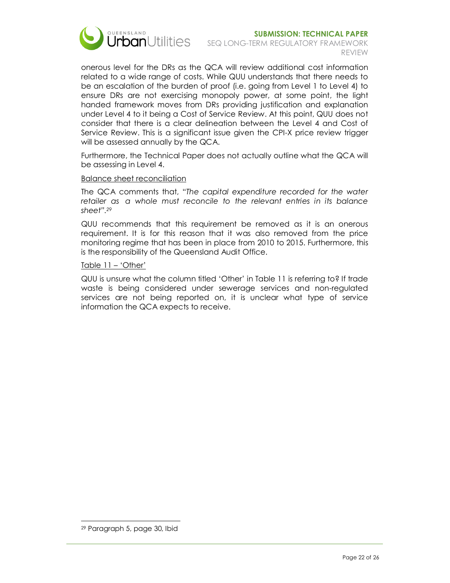

#### **SUBMISSION: TECHNICAL PAPER**  SEQ LONG-TERM REGULATORY FRAMEWORK REVIEW

onerous level for the DRs as the QCA will review additional cost information related to a wide range of costs. While QUU understands that there needs to be an escalation of the burden of proof (i.e. going from Level 1 to Level 4) to ensure DRs are not exercising monopoly power, at some point, the light handed framework moves from DRs providing justification and explanation under Level 4 to it being a Cost of Service Review. At this point, QUU does not consider that there is a clear delineation between the Level 4 and Cost of Service Review. This is a significant issue given the CPI-X price review trigger will be assessed annually by the QCA.

Furthermore, the Technical Paper does not actually outline what the QCA will be assessing in Level 4.

#### Balance sheet reconciliation

The QCA comments that, "*The capital expenditure recorded for the water retailer as a whole must reconcile to the relevant entries in its balance sheet".<sup>29</sup>*

QUU recommends that this requirement be removed as it is an onerous requirement. It is for this reason that it was also removed from the price monitoring regime that has been in place from 2010 to 2015. Furthermore, this is the responsibility of the Queensland Audit Office.

#### Table 11 – 'Other'

QUU is unsure what the column titled 'Other' in Table 11 is referring to? If trade waste is being considered under sewerage services and non-regulated services are not being reported on, it is unclear what type of service information the QCA expects to receive.

<sup>29</sup> Paragraph 5, page 30, Ibid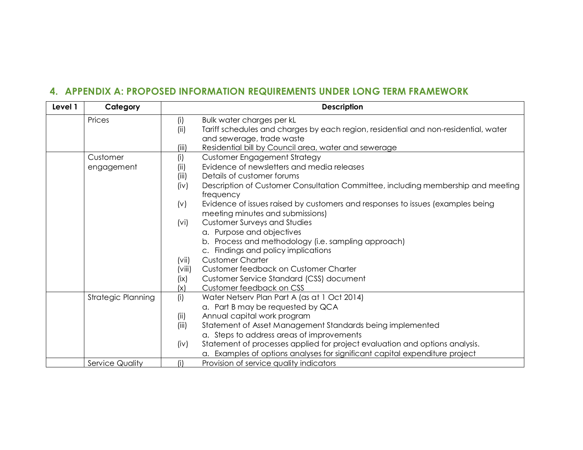## **4. APPENDIX A: PROPOSED INFORMATION REQUIREMENTS UNDER LONG TERM FRAMEWORK**

| Level 1 | Category                  | <b>Description</b>                                                                          |
|---------|---------------------------|---------------------------------------------------------------------------------------------|
|         | Prices                    | (i)<br>Bulk water charges per kL                                                            |
|         |                           | Tariff schedules and charges by each region, residential and non-residential, water<br>(ii) |
|         |                           | and sewerage, trade waste                                                                   |
|         |                           | Residential bill by Council area, water and sewerage<br>(iii)                               |
|         | Customer                  | <b>Customer Engagement Strategy</b><br>(i)                                                  |
|         | engagement                | Evidence of newsletters and media releases<br>(ii)                                          |
|         |                           | (iii)<br>Details of customer forums                                                         |
|         |                           | Description of Customer Consultation Committee, including membership and meeting<br>(iv)    |
|         |                           | frequency                                                                                   |
|         |                           | Evidence of issues raised by customers and responses to issues (examples being<br>(v)       |
|         |                           | meeting minutes and submissions)                                                            |
|         |                           | <b>Customer Surveys and Studies</b><br>(vi)                                                 |
|         |                           | a. Purpose and objectives<br>b. Process and methodology (i.e. sampling approach)            |
|         |                           | c. Findings and policy implications                                                         |
|         |                           | <b>Customer Charter</b><br>(vii)                                                            |
|         |                           | Customer feedback on Customer Charter<br>(viii)                                             |
|         |                           | Customer Service Standard (CSS) document<br>(ix)                                            |
|         |                           | Customer feedback on CSS<br>(x)                                                             |
|         | <b>Strategic Planning</b> | (i)<br>Water Netserv Plan Part A (as at 1 Oct 2014)                                         |
|         |                           | a. Part B may be requested by QCA                                                           |
|         |                           | Annual capital work program<br>(ii)                                                         |
|         |                           | Statement of Asset Management Standards being implemented<br>(iii)                          |
|         |                           | a. Steps to address areas of improvements                                                   |
|         |                           | Statement of processes applied for project evaluation and options analysis.<br>(iv)         |
|         |                           | a. Examples of options analyses for significant capital expenditure project                 |
|         | Service Quality           | (i)<br>Provision of service quality indicators                                              |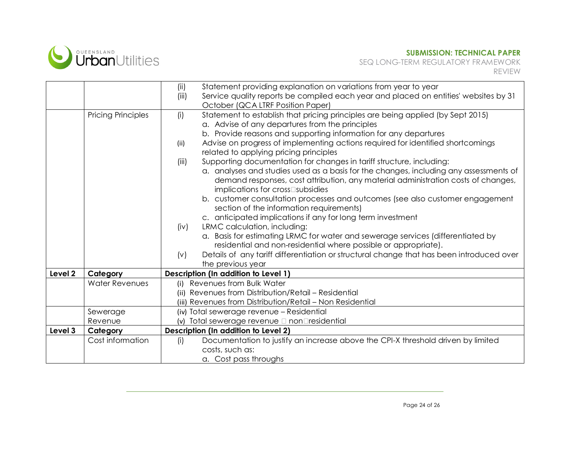

|         |                           | Statement providing explanation on variations from year to year<br>(ii)<br>(iii)<br>Service quality reports be compiled each year and placed on entities' websites by 31<br>October (QCA LTRF Position Paper)                                                                                                                                                                                                                                                                                                                                                                                                                                         |
|---------|---------------------------|-------------------------------------------------------------------------------------------------------------------------------------------------------------------------------------------------------------------------------------------------------------------------------------------------------------------------------------------------------------------------------------------------------------------------------------------------------------------------------------------------------------------------------------------------------------------------------------------------------------------------------------------------------|
|         | <b>Pricing Principles</b> | Statement to establish that pricing principles are being applied (by Sept 2015)<br>(i)<br>a. Advise of any departures from the principles<br>b. Provide reasons and supporting information for any departures<br>Advise on progress of implementing actions required for identified shortcomings<br>(ii)<br>related to applying pricing principles<br>Supporting documentation for changes in tariff structure, including:<br>(iii)<br>a. analyses and studies used as a basis for the changes, including any assessments of<br>demand responses, cost attribution, any material administration costs of changes,<br>implications for crossPsubsidies |
|         |                           | b. customer consultation processes and outcomes (see also customer engagement<br>section of the information requirements)<br>c. anticipated implications if any for long term investment<br>LRMC calculation, including:<br>(iv)<br>a. Basis for estimating LRMC for water and sewerage services (differentiated by<br>residential and non-residential where possible or appropriate).<br>Details of any tariff differentiation or structural change that has been introduced over<br>(v)<br>the previous year                                                                                                                                        |
| Level 2 | Category                  | Description (In addition to Level 1)                                                                                                                                                                                                                                                                                                                                                                                                                                                                                                                                                                                                                  |
|         | <b>Water Revenues</b>     | (i) Revenues from Bulk Water<br>(ii) Revenues from Distribution/Retail - Residential<br>(iii) Revenues from Distribution/Retail - Non Residential                                                                                                                                                                                                                                                                                                                                                                                                                                                                                                     |
|         | Sewerage                  | (iv) Total sewerage revenue - Residential                                                                                                                                                                                                                                                                                                                                                                                                                                                                                                                                                                                                             |
|         | Revenue                   | (v) Total sewerage revenue P nonPresidential                                                                                                                                                                                                                                                                                                                                                                                                                                                                                                                                                                                                          |
| Level 3 | Category                  | Description (In addition to Level 2)                                                                                                                                                                                                                                                                                                                                                                                                                                                                                                                                                                                                                  |
|         | Cost information          | Documentation to justify an increase above the CPI-X threshold driven by limited<br>(i)<br>costs, such as:<br>a. Cost pass throughs                                                                                                                                                                                                                                                                                                                                                                                                                                                                                                                   |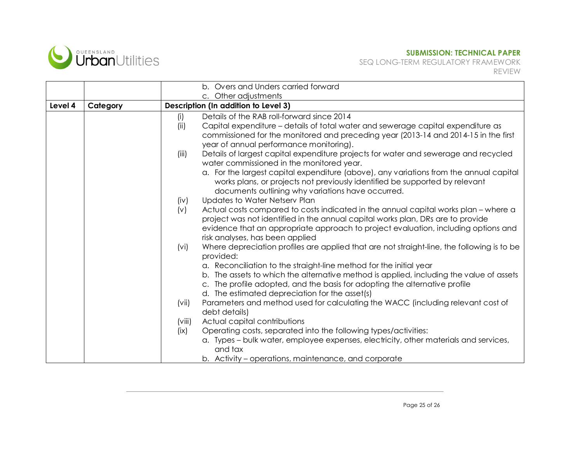

 SEQ LONG-TERM REGULATORY FRAMEWORK REVIEW

|         |          | b. Overs and Unders carried forward                                                                                                                                                                                                                                                                    |
|---------|----------|--------------------------------------------------------------------------------------------------------------------------------------------------------------------------------------------------------------------------------------------------------------------------------------------------------|
| Level 4 | Category | c. Other adjustments<br>Description (In addition to Level 3)                                                                                                                                                                                                                                           |
|         |          | Details of the RAB roll-forward since 2014<br>(i)                                                                                                                                                                                                                                                      |
|         |          | Capital expenditure - details of total water and sewerage capital expenditure as<br>(ii)<br>commissioned for the monitored and preceding year (2013-14 and 2014-15 in the first<br>year of annual performance monitoring).                                                                             |
|         |          | Details of largest capital expenditure projects for water and sewerage and recycled<br>(iii)<br>water commissioned in the monitored year.                                                                                                                                                              |
|         |          | a. For the largest capital expenditure (above), any variations from the annual capital<br>works plans, or projects not previously identified be supported by relevant<br>documents outlining why variations have occurred.                                                                             |
|         |          | Updates to Water Netserv Plan<br>(iv)                                                                                                                                                                                                                                                                  |
|         |          | Actual costs compared to costs indicated in the annual capital works plan - where a<br>(v)<br>project was not identified in the annual capital works plan, DRs are to provide<br>evidence that an appropriate approach to project evaluation, including options and<br>risk analyses, has been applied |
|         |          | Where depreciation profiles are applied that are not straight-line, the following is to be<br>(vi)<br>provided:                                                                                                                                                                                        |
|         |          | a. Reconciliation to the straight-line method for the initial year<br>b. The assets to which the alternative method is applied, including the value of assets<br>c. The profile adopted, and the basis for adopting the alternative profile<br>d. The estimated depreciation for the asset(s)          |
|         |          | Parameters and method used for calculating the WACC (including relevant cost of<br>(vii)<br>debt details)                                                                                                                                                                                              |
|         |          | Actual capital contributions<br>(viii)                                                                                                                                                                                                                                                                 |
|         |          | Operating costs, separated into the following types/activities:<br>(ix)                                                                                                                                                                                                                                |
|         |          | a. Types - bulk water, employee expenses, electricity, other materials and services,<br>and tax                                                                                                                                                                                                        |
|         |          | b. Activity – operations, maintenance, and corporate                                                                                                                                                                                                                                                   |